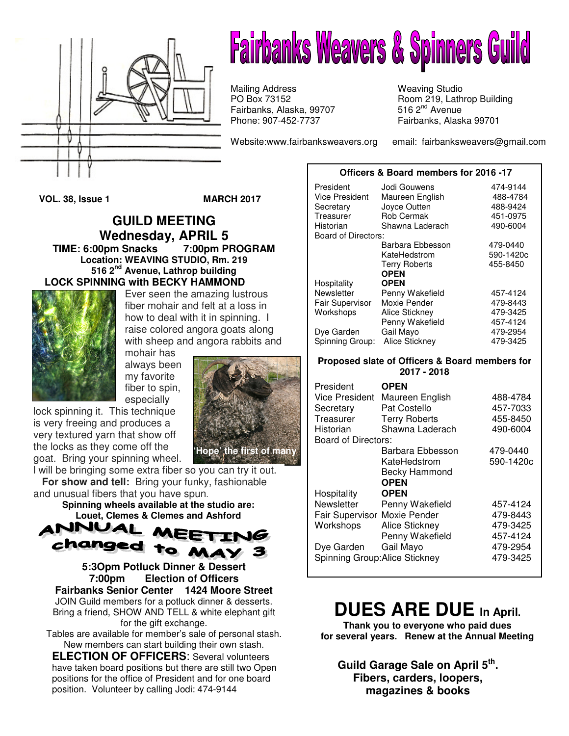

## **Fairbanks Weavers & Spinners Guild**

Mailing Address Weaving Studio<br>
PO Box 73152 (and Boom 219, Lath Fairbanks, Alaska, 99707 Phone: 907-452-7737 Fairbanks, Alaska 99701

Room 219, Lathrop Building 516  $2<sup>nd</sup>$  Avenue

Website:www.fairbanksweavers.org email: fairbanksweavers@gmail.com

**VOL. 38, Issue 1 MARCH 2017** 

**GUILD MEETING Wednesday, APRIL 5 TIME: 6:00pm Snacks 7:00pm PROGRAM Location: WEAVING STUDIO, Rm. 219 516 2nd Avenue, Lathrop building LOCK SPINNING with BECKY HAMMOND** 



Ever seen the amazing lustrous fiber mohair and felt at a loss in how to deal with it in spinning. I raise colored angora goats along with sheep and angora rabbits and

mohair has always been my favorite fiber to spin, especially

lock spinning it. This technique is very freeing and produces a very textured yarn that show off the locks as they come off the goat. Bring your spinning wheel.



l will be bringing some extra fiber so you can try it out.  **For show and tell:** Bring your funky, fashionable and unusual fibers that you have spun.

**Spinning wheels available at the studio are: Louet, Clemes & Clemes and Ashford** 



**5:3Opm Potluck Dinner & Dessert 7:00pm Election of Officers Fairbanks Senior Center 1424 Moore Street**  JOIN Guild members for a potluck dinner & desserts. Bring a friend, SHOW AND TELL & white elephant gift for the gift exchange.

Tables are available for member's sale of personal stash. New members can start building their own stash.

**ELECTION OF OFFICERS**: Several volunteers have taken board positions but there are still two Open positions for the office of President and for one board position. Volunteer by calling Jodi: 474-9144

| President<br><b>Vice President</b> | Jodi Gouwens<br>Maureen English | 474-9144<br>488-4784 |
|------------------------------------|---------------------------------|----------------------|
| Secretary                          | Joyce Outten                    | 488-9424             |
| Treasurer                          | Rob Cermak                      | 451-0975             |
| Historian                          | Shawna Laderach                 | 490-6004             |
| Board of Directors:                |                                 |                      |
|                                    | Barbara Ebbesson                | 479-0440             |
|                                    | KateHedstrom                    | 590-1420c            |
|                                    | <b>Terry Roberts</b>            | 455-8450             |
|                                    | <b>OPEN</b>                     |                      |
| Hospitality                        | <b>OPEN</b>                     |                      |
| Newsletter                         | Penny Wakefield                 | 457-4124             |
| <b>Fair Supervisor</b>             | Moxie Pender                    | 479-8443             |
| Workshops                          | <b>Alice Stickney</b>           | 479-3425             |
|                                    | Penny Wakefield                 | 457-4124             |
| Dye Garden                         | Gail Mayo                       | 479-2954             |
| Spinning Group:                    | Alice Stickney                  | 479-3425             |

**Officers & Board members for 2016 -17**

#### **Proposed slate of Officers & Board members for 2017 - 2018**

| President<br>Vice President<br>Secretary<br>Treasurer<br>Historian<br>Board of Directors: | <b>OPEN</b><br>Maureen English<br>Pat Costello<br><b>Terry Roberts</b><br>Shawna Laderach | 488-4784<br>457-7033<br>455-8450<br>490-6004 |
|-------------------------------------------------------------------------------------------|-------------------------------------------------------------------------------------------|----------------------------------------------|
|                                                                                           | Barbara Ebbesson                                                                          | 479-0440                                     |
|                                                                                           | KateHedstrom                                                                              | 590-1420c                                    |
|                                                                                           | <b>Becky Hammond</b>                                                                      |                                              |
|                                                                                           | <b>OPEN</b>                                                                               |                                              |
| Hospitality                                                                               | <b>OPEN</b>                                                                               |                                              |
| Newsletter                                                                                | Penny Wakefield                                                                           | 457-4124                                     |
| Fair Supervisor Moxie Pender                                                              |                                                                                           | 479-8443                                     |
| Workshops                                                                                 | Alice Stickney                                                                            | 479-3425                                     |
|                                                                                           | Penny Wakefield                                                                           | 457-4124                                     |
| Dye Garden                                                                                | Gail Mayo                                                                                 | 479-2954                                     |
|                                                                                           | Spinning Group: Alice Stickney                                                            | 479-3425                                     |

### **DUES ARE DUE In April.**

**Thank you to everyone who paid dues for several years. Renew at the Annual Meeting**

**Guild Garage Sale on April 5th . Fibers, carders, loopers, magazines & books**